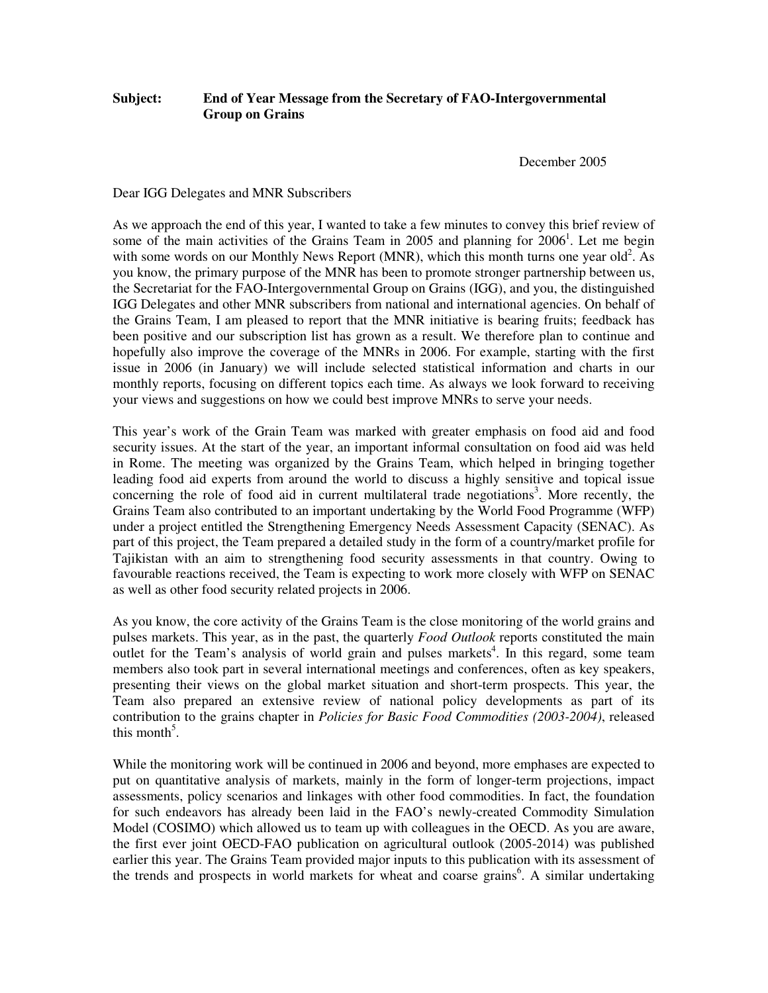## **Subject: End of Year Message from the Secretary of FAO-Intergovernmental Group on Grains**

December 2005

Dear IGG Delegates and MNR Subscribers

As we approach the end of this year, I wanted to take a few minutes to convey this brief review of some of the main activities of the Grains Team in 2005 and planning for 2006<sup>1</sup>. Let me begin with some words on our Monthly News Report (MNR), which this month turns one year old<sup>2</sup>. As you know, the primary purpose of the MNR has been to promote stronger partnership between us, the Secretariat for the FAO-Intergovernmental Group on Grains (IGG), and you, the distinguished IGG Delegates and other MNR subscribers from national and international agencies. On behalf of the Grains Team, I am pleased to report that the MNR initiative is bearing fruits; feedback has been positive and our subscription list has grown as a result. We therefore plan to continue and hopefully also improve the coverage of the MNRs in 2006. For example, starting with the first issue in 2006 (in January) we will include selected statistical information and charts in our monthly reports, focusing on different topics each time. As always we look forward to receiving your views and suggestions on how we could best improve MNRs to serve your needs.

This year's work of the Grain Team was marked with greater emphasis on food aid and food security issues. At the start of the year, an important informal consultation on food aid was held in Rome. The meeting was organized by the Grains Team, which helped in bringing together leading food aid experts from around the world to discuss a highly sensitive and topical issue concerning the role of food aid in current multilateral trade negotiations 3 . More recently, the Grains Team also contributed to an important undertaking by the World Food Programme (WFP) under a project entitled the Strengthening Emergency Needs Assessment Capacity (SENAC). As part of this project, the Team prepared a detailed study in the form of a country/market profile for Tajikistan with an aim to strengthening food security assessments in that country. Owing to favourable reactions received, the Team is expecting to work more closely with WFP on SENAC as well as other food security related projects in 2006.

As you know, the core activity of the Grains Team is the close monitoring of the world grains and pulses markets. This year, as in the past, the quarterly *Food Outlook* reports constituted the main outlet for the Team's analysis of world grain and pulses markets<sup>4</sup>. In this regard, some team members also took part in several international meetings and conferences, often as key speakers, presenting their views on the global market situation and short-term prospects. This year, the Team also prepared an extensive review of national policy developments as part of its contribution to the grains chapter in *Policies for Basic Food Commodities (2003-2004)*, released this month<sup>5</sup>.

While the monitoring work will be continued in 2006 and beyond, more emphases are expected to put on quantitative analysis of markets, mainly in the form of longer-term projections, impact assessments, policy scenarios and linkages with other food commodities. In fact, the foundation for such endeavors has already been laid in the FAO's newly-created Commodity Simulation Model (COSIMO) which allowed us to team up with colleagues in the OECD. As you are aware, the first ever joint OECD-FAO publication on agricultural outlook (2005-2014) was published earlier this year. The Grains Team provided major inputs to this publication with its assessment of the trends and prospects in world markets for wheat and coarse grains 6 . A similar undertaking